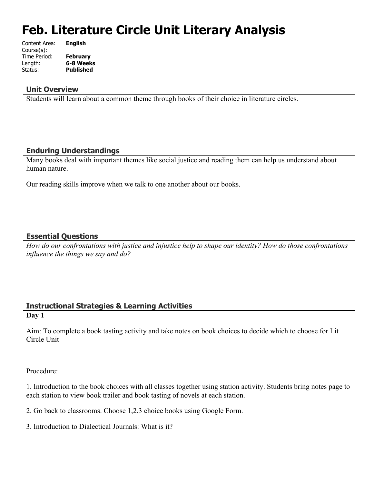# **Feb. Literature Circle Unit Literary Analysis**

| Content Area: | <b>English</b>   |
|---------------|------------------|
| Course(s):    |                  |
| Time Period:  | <b>February</b>  |
| Length:       | 6-8 Weeks        |
| Status:       | <b>Published</b> |
|               |                  |

## **Unit Overview**

Students will learn about a common theme through books of their choice in literature circles.

## **Enduring Understandings**

Many books deal with important themes like social justice and reading them can help us understand about human nature.

Our reading skills improve when we talk to one another about our books.

## **Essential Questions**

*How do our confrontations with justice and injustice help to shape our identity? How do those confrontations influence the things we say and do?*

### **Instructional Strategies & Learning Activities Day 1**

Aim: To complete a book tasting activity and take notes on book choices to decide which to choose for Lit Circle Unit

Procedure:

1. Introduction to the book choices with all classes together using station activity. Students bring notes page to each station to view book trailer and book tasting of novels at each station.

- 2. Go back to classrooms. Choose 1,2,3 choice books using Google Form.
- 3. Introduction to Dialectical Journals: What is it?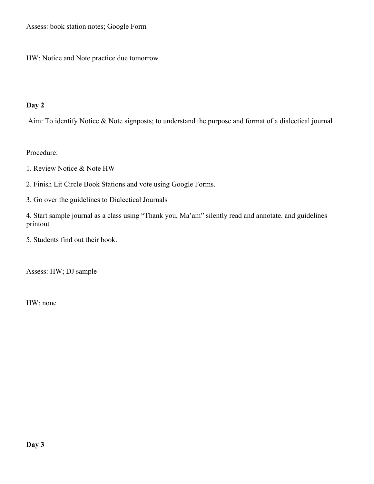Assess: book station notes; Google Form

HW: Notice and Note practice due tomorrow

# **Day 2**

Aim: To identify Notice & Note signposts; to understand the purpose and format of a dialectical journal

Procedure:

- 1. Review Notice & Note HW
- 2. Finish Lit Circle Book Stations and vote using Google Forms.
- 3. Go over the guidelines to Dialectical Journals

4. Start sample journal as a class using "Thank you, Ma'am" silently read and annotate. and guidelines printout

5. Students find out their book.

Assess: HW; DJ sample

HW: none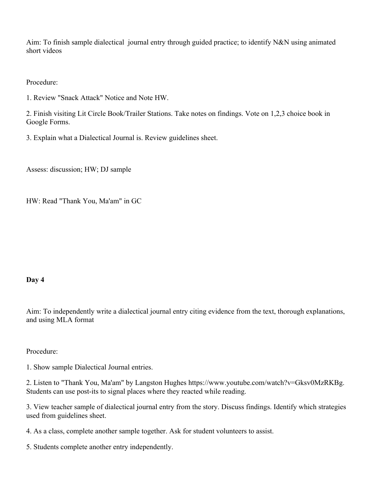Aim: To finish sample dialectical journal entry through guided practice; to identify N&N using animated short videos

Procedure:

1. Review "Snack Attack" Notice and Note HW.

2. Finish visiting Lit Circle Book/Trailer Stations. Take notes on findings. Vote on 1,2,3 choice book in Google Forms.

3. Explain what a Dialectical Journal is. Review guidelines sheet.

Assess: discussion; HW; DJ sample

HW: Read "Thank You, Ma'am" in GC

#### **Day 4**

Aim: To independently write a dialectical journal entry citing evidence from the text, thorough explanations, and using MLA format

Procedure:

1. Show sample Dialectical Journal entries.

2. Listen to "Thank You, Ma'am" by Langston Hughes https://www.youtube.com/watch?v=Gksv0MzRKBg. Students can use post-its to signal places where they reacted while reading.

3. View teacher sample of dialectical journal entry from the story. Discuss findings. Identify which strategies used from guidelines sheet.

4. As a class, complete another sample together. Ask for student volunteers to assist.

5. Students complete another entry independently.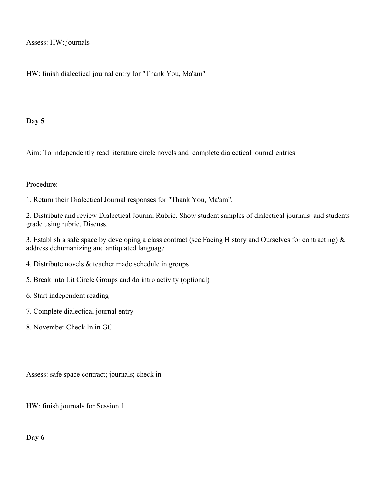Assess: HW; journals

HW: finish dialectical journal entry for "Thank You, Ma'am"

## **Day 5**

Aim: To independently read literature circle novels and complete dialectical journal entries

## Procedure:

1. Return their Dialectical Journal responses for "Thank You, Ma'am".

2. Distribute and review Dialectical Journal Rubric. Show student samples of dialectical journals and students grade using rubric. Discuss.

3. Establish a safe space by developing a class contract (see Facing History and Ourselves for contracting) & address dehumanizing and antiquated language

- 4. Distribute novels & teacher made schedule in groups
- 5. Break into Lit Circle Groups and do intro activity (optional)
- 6. Start independent reading
- 7. Complete dialectical journal entry
- 8. November Check In in GC

Assess: safe space contract; journals; check in

HW: finish journals for Session 1

## **Day 6**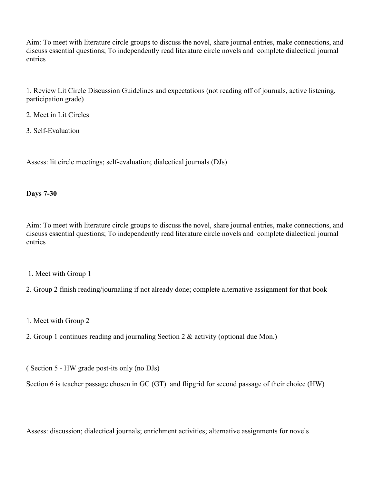Aim: To meet with literature circle groups to discuss the novel, share journal entries, make connections, and discuss essential questions; To independently read literature circle novels and complete dialectical journal entries

1. Review Lit Circle Discussion Guidelines and expectations (not reading off of journals, active listening, participation grade)

- 2. Meet in Lit Circles
- 3. Self-Evaluation

Assess: lit circle meetings; self-evaluation; dialectical journals (DJs)

## **Days 7-30**

Aim: To meet with literature circle groups to discuss the novel, share journal entries, make connections, and discuss essential questions; To independently read literature circle novels and complete dialectical journal entries

- 1. Meet with Group 1
- 2. Group 2 finish reading/journaling if not already done; complete alternative assignment for that book
- 1. Meet with Group 2
- 2. Group 1 continues reading and journaling Section 2 & activity (optional due Mon.)

( Section 5 - HW grade post-its only (no DJs)

Section 6 is teacher passage chosen in GC (GT) and flipgrid for second passage of their choice (HW)

Assess: discussion; dialectical journals; enrichment activities; alternative assignments for novels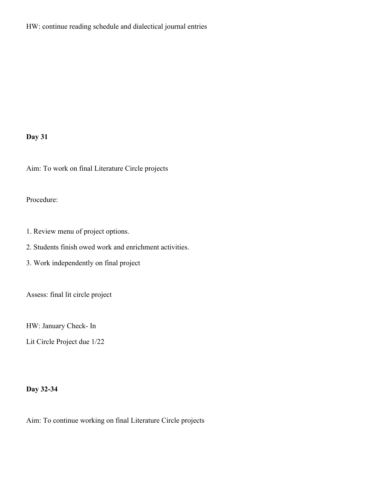HW: continue reading schedule and dialectical journal entries

# **Day 31**

Aim: To work on final Literature Circle projects

# Procedure:

1. Review menu of project options.

2. Students finish owed work and enrichment activities.

3. Work independently on final project

Assess: final lit circle project

HW: January Check- In

Lit Circle Project due 1/22

## **Day 32-34**

Aim: To continue working on final Literature Circle projects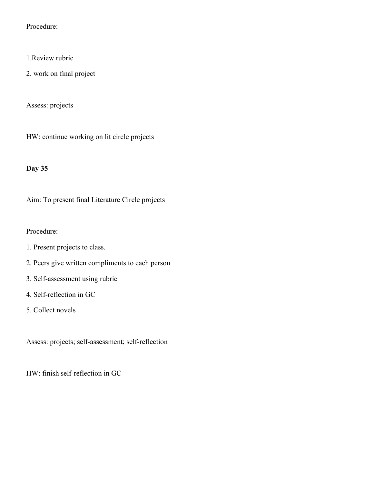Procedure:

- 1.Review rubric
- 2. work on final project

Assess: projects

HW: continue working on lit circle projects

## **Day 35**

Aim: To present final Literature Circle projects

Procedure:

- 1. Present projects to class.
- 2. Peers give written compliments to each person
- 3. Self-assessment using rubric
- 4. Self-reflection in GC
- 5. Collect novels

Assess: projects; self-assessment; self-reflection

HW: finish self-reflection in GC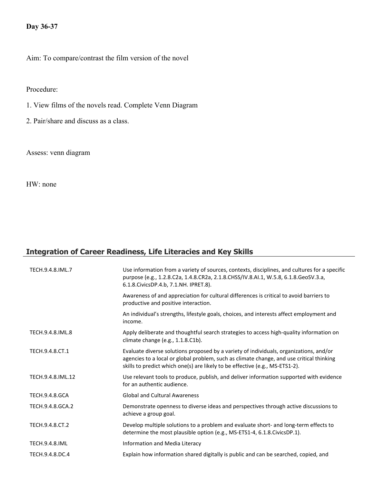# **Day 36-37**

Aim: To compare/contrast the film version of the novel

Procedure:

- 1. View films of the novels read. Complete Venn Diagram
- 2. Pair/share and discuss as a class.

Assess: venn diagram

HW: none

# **Integration of Career Readiness, Life Literacies and Key Skills**

| TECH.9.4.8.IML.7      | Use information from a variety of sources, contexts, disciplines, and cultures for a specific<br>purpose (e.g., 1.2.8.C2a, 1.4.8.CR2a, 2.1.8.CHSS/IV.8.AI.1, W.5.8, 6.1.8.GeoSV.3.a,<br>6.1.8. Civics DP. 4.b, 7.1. NH. IPRET. 8).                                 |
|-----------------------|--------------------------------------------------------------------------------------------------------------------------------------------------------------------------------------------------------------------------------------------------------------------|
|                       | Awareness of and appreciation for cultural differences is critical to avoid barriers to<br>productive and positive interaction.                                                                                                                                    |
|                       | An individual's strengths, lifestyle goals, choices, and interests affect employment and<br>income.                                                                                                                                                                |
| TECH.9.4.8.IML.8      | Apply deliberate and thoughtful search strategies to access high-quality information on<br>climate change (e.g., 1.1.8.C1b).                                                                                                                                       |
| TECH.9.4.8.CT.1       | Evaluate diverse solutions proposed by a variety of individuals, organizations, and/or<br>agencies to a local or global problem, such as climate change, and use critical thinking<br>skills to predict which one(s) are likely to be effective (e.g., MS-ETS1-2). |
| TECH.9.4.8.IML.12     | Use relevant tools to produce, publish, and deliver information supported with evidence<br>for an authentic audience.                                                                                                                                              |
| <b>TECH.9.4.8.GCA</b> | <b>Global and Cultural Awareness</b>                                                                                                                                                                                                                               |
| TECH.9.4.8.GCA.2      | Demonstrate openness to diverse ideas and perspectives through active discussions to<br>achieve a group goal.                                                                                                                                                      |
| TECH.9.4.8.CT.2       | Develop multiple solutions to a problem and evaluate short- and long-term effects to<br>determine the most plausible option (e.g., MS-ETS1-4, 6.1.8.CivicsDP.1).                                                                                                   |
| <b>TECH.9.4.8.IML</b> | Information and Media Literacy                                                                                                                                                                                                                                     |
| TECH.9.4.8.DC.4       | Explain how information shared digitally is public and can be searched, copied, and                                                                                                                                                                                |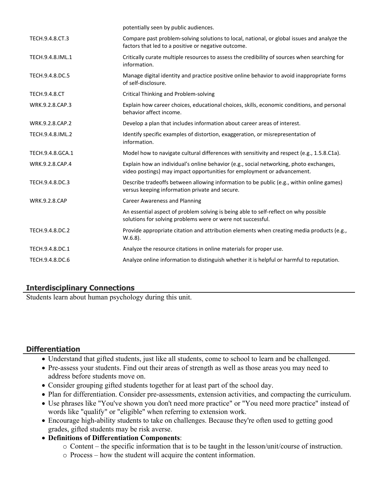|                      | potentially seen by public audiences.                                                                                                                             |
|----------------------|-------------------------------------------------------------------------------------------------------------------------------------------------------------------|
| TECH.9.4.8.CT.3      | Compare past problem-solving solutions to local, national, or global issues and analyze the<br>factors that led to a positive or negative outcome.                |
| TECH.9.4.8.IML.1     | Critically curate multiple resources to assess the credibility of sources when searching for<br>information.                                                      |
| TECH.9.4.8.DC.5      | Manage digital identity and practice positive online behavior to avoid inappropriate forms<br>of self-disclosure.                                                 |
| <b>TECH.9.4.8.CT</b> | Critical Thinking and Problem-solving                                                                                                                             |
| WRK.9.2.8.CAP.3      | Explain how career choices, educational choices, skills, economic conditions, and personal<br>behavior affect income.                                             |
| WRK.9.2.8.CAP.2      | Develop a plan that includes information about career areas of interest.                                                                                          |
| TECH.9.4.8.IML.2     | Identify specific examples of distortion, exaggeration, or misrepresentation of<br>information.                                                                   |
| TECH.9.4.8.GCA.1     | Model how to navigate cultural differences with sensitivity and respect (e.g., 1.5.8.C1a).                                                                        |
| WRK.9.2.8.CAP.4      | Explain how an individual's online behavior (e.g., social networking, photo exchanges,<br>video postings) may impact opportunities for employment or advancement. |
| TECH.9.4.8.DC.3      | Describe tradeoffs between allowing information to be public (e.g., within online games)<br>versus keeping information private and secure.                        |
| <b>WRK.9.2.8.CAP</b> | <b>Career Awareness and Planning</b>                                                                                                                              |
|                      | An essential aspect of problem solving is being able to self-reflect on why possible<br>solutions for solving problems were or were not successful.               |
| TECH.9.4.8.DC.2      | Provide appropriate citation and attribution elements when creating media products (e.g.,<br>$W.6.8$ ).                                                           |
| TECH.9.4.8.DC.1      | Analyze the resource citations in online materials for proper use.                                                                                                |
| TECH.9.4.8.DC.6      | Analyze online information to distinguish whether it is helpful or harmful to reputation.                                                                         |

# **Interdisciplinary Connections**

Students learn about human psychology during this unit.

## **Differentiation**

- Understand that gifted students, just like all students, come to school to learn and be challenged.
- Pre-assess your students. Find out their areas of strength as well as those areas you may need to address before students move on.
- Consider grouping gifted students together for at least part of the school day.
- Plan for differentiation. Consider pre-assessments, extension activities, and compacting the curriculum.
- Use phrases like "You've shown you don't need more practice" or "You need more practice" instead of words like "qualify" or "eligible" when referring to extension work.
- Encourage high-ability students to take on challenges. Because they're often used to getting good grades, gifted students may be risk averse.
- **Definitions of Differentiation Components**:
	- o Content the specific information that is to be taught in the lesson/unit/course of instruction.
	- o Process how the student will acquire the content information.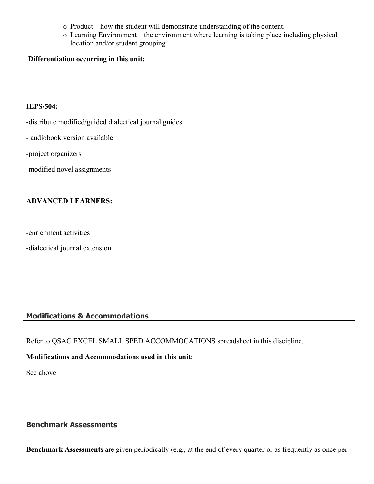- o Product how the student will demonstrate understanding of the content.
- o Learning Environment the environment where learning is taking place including physical location and/or student grouping

### **Differentiation occurring in this unit:**

#### **IEPS/504:**

- -distribute modified/guided dialectical journal guides
- audiobook version available
- -project organizers
- -modified novel assignments

## **ADVANCED LEARNERS:**

- -enrichment activities
- -dialectical journal extension

## **Modifications & Accommodations**

Refer to QSAC EXCEL SMALL SPED ACCOMMOCATIONS spreadsheet in this discipline.

#### **Modifications and Accommodations used in this unit:**

See above

## **Benchmark Assessments**

**Benchmark Assessments** are given periodically (e.g., at the end of every quarter or as frequently as once per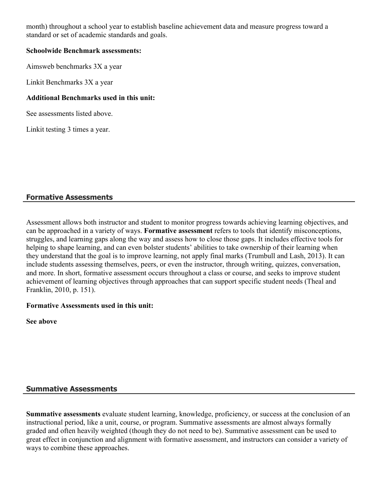month) throughout a school year to establish baseline achievement data and measure progress toward a standard or set of academic standards and goals.

### **Schoolwide Benchmark assessments:**

Aimsweb benchmarks 3X a year

Linkit Benchmarks 3X a year

### **Additional Benchmarks used in this unit:**

See assessments listed above.

Linkit testing 3 times a year.

## **Formative Assessments**

Assessment allows both instructor and student to monitor progress towards achieving learning objectives, and can be approached in a variety of ways. **Formative assessment** refers to tools that identify misconceptions, struggles, and learning gaps along the way and assess how to close those gaps. It includes effective tools for helping to shape learning, and can even bolster students' abilities to take ownership of their learning when they understand that the goal is to improve learning, not apply final marks (Trumbull and Lash, 2013). It can include students assessing themselves, peers, or even the instructor, through writing, quizzes, conversation, and more. In short, formative assessment occurs throughout a class or course, and seeks to improve student achievement of learning objectives through approaches that can support specific student needs (Theal and Franklin, 2010, p. 151).

## **Formative Assessments used in this unit:**

**See above**

## **Summative Assessments**

**Summative assessments** evaluate student learning, knowledge, proficiency, or success at the conclusion of an instructional period, like a unit, course, or program. Summative assessments are almost always formally graded and often heavily weighted (though they do not need to be). Summative assessment can be used to great effect in conjunction and alignment with formative assessment, and instructors can consider a variety of ways to combine these approaches.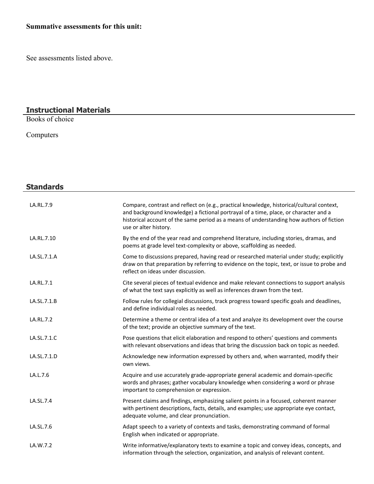# **Summative assessments for this unit:**

See assessments listed above.

#### **Instructional Materials**

Books of choice

Computers

| <b>Standards</b> |                                                                                                                                                                                                                                                                                                        |
|------------------|--------------------------------------------------------------------------------------------------------------------------------------------------------------------------------------------------------------------------------------------------------------------------------------------------------|
| LA.RL.7.9        | Compare, contrast and reflect on (e.g., practical knowledge, historical/cultural context,<br>and background knowledge) a fictional portrayal of a time, place, or character and a<br>historical account of the same period as a means of understanding how authors of fiction<br>use or alter history. |
| LA.RL.7.10       | By the end of the year read and comprehend literature, including stories, dramas, and<br>poems at grade level text-complexity or above, scaffolding as needed.                                                                                                                                         |
| LA.SL.7.1.A      | Come to discussions prepared, having read or researched material under study; explicitly<br>draw on that preparation by referring to evidence on the topic, text, or issue to probe and<br>reflect on ideas under discussion.                                                                          |
| LA.RL.7.1        | Cite several pieces of textual evidence and make relevant connections to support analysis<br>of what the text says explicitly as well as inferences drawn from the text.                                                                                                                               |
| LA.SL.7.1.B      | Follow rules for collegial discussions, track progress toward specific goals and deadlines,<br>and define individual roles as needed.                                                                                                                                                                  |
| LA.RL.7.2        | Determine a theme or central idea of a text and analyze its development over the course<br>of the text; provide an objective summary of the text.                                                                                                                                                      |
| LA.SL.7.1.C      | Pose questions that elicit elaboration and respond to others' questions and comments<br>with relevant observations and ideas that bring the discussion back on topic as needed.                                                                                                                        |
| LA.SL.7.1.D      | Acknowledge new information expressed by others and, when warranted, modify their<br>own views.                                                                                                                                                                                                        |
| LA.L.7.6         | Acquire and use accurately grade-appropriate general academic and domain-specific<br>words and phrases; gather vocabulary knowledge when considering a word or phrase<br>important to comprehension or expression.                                                                                     |
| LA.SL.7.4        | Present claims and findings, emphasizing salient points in a focused, coherent manner<br>with pertinent descriptions, facts, details, and examples; use appropriate eye contact,<br>adequate volume, and clear pronunciation.                                                                          |
| LA.SL.7.6        | Adapt speech to a variety of contexts and tasks, demonstrating command of formal<br>English when indicated or appropriate.                                                                                                                                                                             |
| LA.W.7.2         | Write informative/explanatory texts to examine a topic and convey ideas, concepts, and<br>information through the selection, organization, and analysis of relevant content.                                                                                                                           |